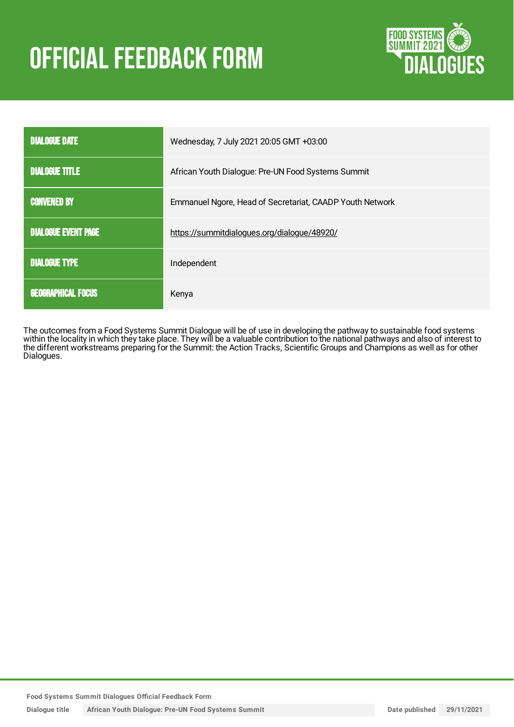# **OFFICIAL FEEDBACK FORM**



| <b>DIALOGUE DATE</b>       | Wednesday, 7 July 2021 20:05 GMT +03:00                  |
|----------------------------|----------------------------------------------------------|
| <b>DIALOGUE TITLE</b>      | African Youth Dialogue: Pre-UN Food Systems Summit       |
| <b>CONVENED BY</b>         | Emmanuel Ngore, Head of Secretariat, CAADP Youth Network |
| <b>DIALOGUE EVENT PAGE</b> | https://summitdialogues.org/dialogue/48920/              |
| <b>DIALOGUE TYPE</b>       | Independent                                              |
| <b>GEOGRAPHICAL FOCUS</b>  | Kenya                                                    |

The outcomes from a Food Systems Summit Dialogue will be of use in developing the pathway to sustainable food systems within the locality in which they take place. They will be a valuable contribution to the national pathways and also of interest to the different workstreams preparing for the Summit: the Action Tracks, Scientific Groups and Champions as well as for other Dialogues.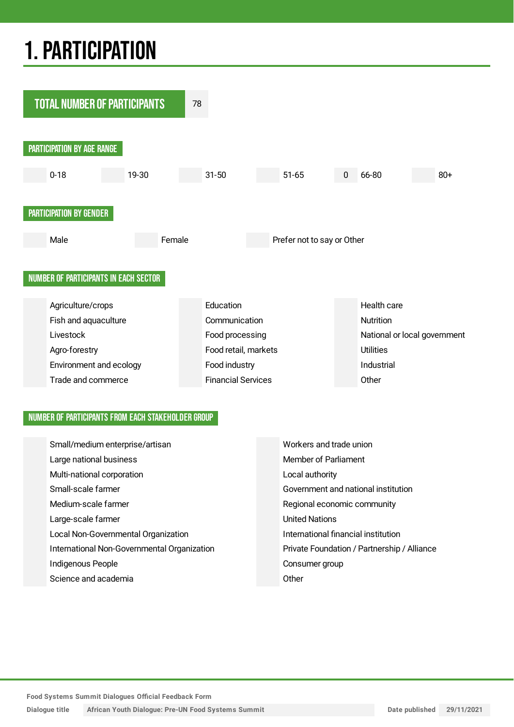## 1.PARTICIPATION



#### NUMBER OF PARTICIPANTS FROM EACH STAKEHOLDER GROUP

| Small/medium enterprise/artisan             | Workers and trade union                     |
|---------------------------------------------|---------------------------------------------|
| Large national business                     | Member of Parliament                        |
| Multi-national corporation                  | Local authority                             |
| Small-scale farmer                          | Government and national institution         |
| Medium-scale farmer                         | Regional economic community                 |
| Large-scale farmer                          | <b>United Nations</b>                       |
| Local Non-Governmental Organization         | International financial institution         |
| International Non-Governmental Organization | Private Foundation / Partnership / Alliance |
| Indigenous People                           | Consumer group                              |
| Science and academia                        | Other                                       |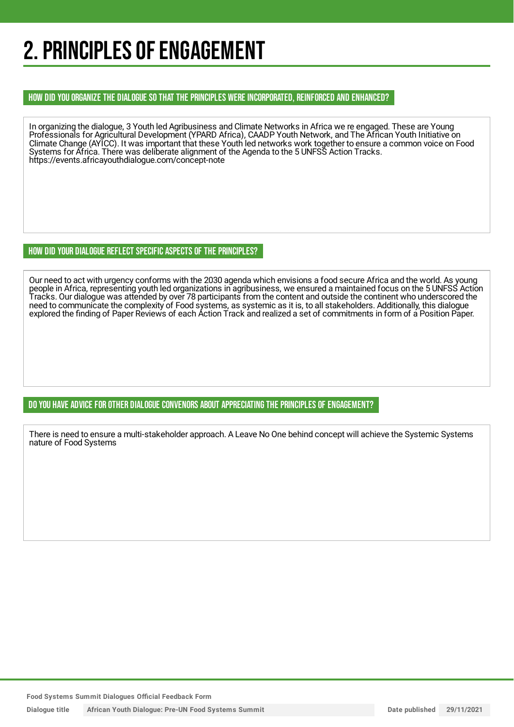## 2. PRINCIPLES OF ENGAGEMENT

HOW DID YOU ORGANIZE THE DIALOGUE SO THAT THE PRINCIPLES WERE INCORPORATED, REINFORCED AND ENHANCED?

In organizing the dialogue, 3 Youth led Agribusiness and Climate Networks in Africa we re engaged. These are Young Professionals for Agricultural Development (YPARD Africa), CAADP Youth Network, and The African Youth Initiative on Climate Change (AYICC). It was important that these Youth led networks work together to ensure a common voice on Food Systems for Africa. There was deliberate alignment of the Agenda to the 5 UNFSS Action Tracks. https://events.africayouthdialogue.com/concept-note

HOW DID YOUR DIALOGUE REFLECT SPECIFIC ASPECTS OF THE PRINCIPLES?

Our need to act with urgency conforms with the 2030 agenda which envisions a food secure Africa and the world. As young people in Africa, representing youth led organizations in agribusiness, we ensured a maintained focus on the 5 UNFSS Action Tracks. Our dialogue was attended by over 78 participants from the content and outside the continent who underscored the need to communicate the complexity of Food systems, as systemic as it is, to all stakeholders. Additionally, this dialogue explored the finding of Paper Reviews of each Action Track and realized a set of commitments in form of a Position Paper.

DO YOU HAVE ADVICE FOR OTHER DIALOGUE CONVENORS ABOUT APPRECIATINGTHE PRINCIPLES OF ENGAGEMENT?

There is need to ensure a multi-stakeholder approach. A Leave No One behind concept will achieve the Systemic Systems nature of Food Systems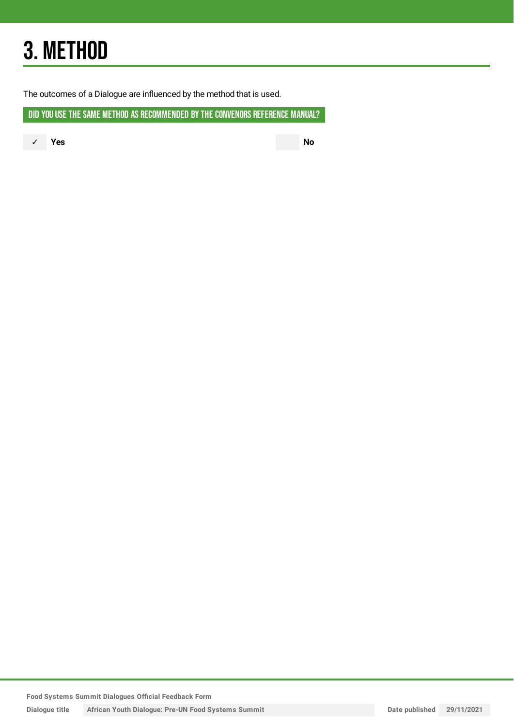## 3. METHOD

The outcomes of a Dialogue are influenced by the method that is used.

DID YOU USE THE SAME METHOD AS RECOMMENDED BY THE CONVENORS REFERENCE MANUAL?

✓ **Yes No**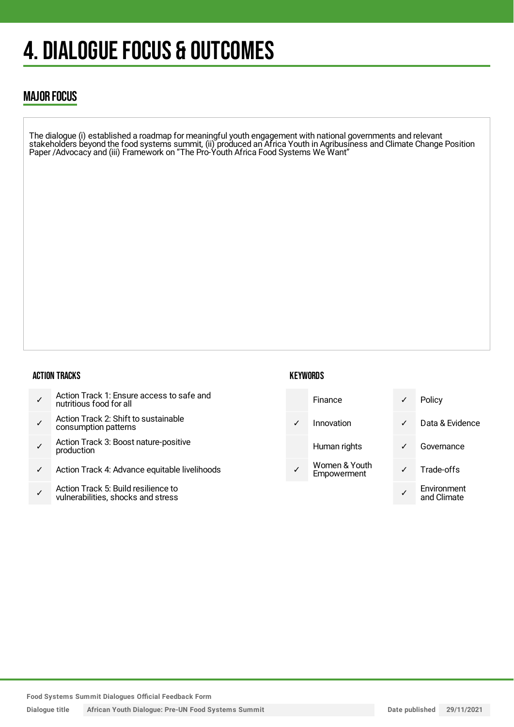## 4. DIALOGUE FOCUS & OUTCOMES

### MAJOR FOCUS

The dialogue (i) established a roadmap for meaningful youth engagement with national governments and relevant stakeholders beyond the food systems summit, (ii) produced an Africa Youth in Agribusiness and Climate Change Position Paper /Advocacy and (iii) Framework on "The Pro-Youth Africa Food Systems We Want"

#### ACTION TRACKS

| Action Track 1: Ensure access to safe and<br>nutritious food for all |  |
|----------------------------------------------------------------------|--|
|----------------------------------------------------------------------|--|

- ✓ Action Track 2: Shift to sustainable consumption patterns
- ✓ Action Track 3: Boost nature-positive production
- ✓ Action Track 4: Advance equitable livelihoods
- ✓ Action Track 5: Build resilience to vulnerabilities, shocks and stress

#### **KEYWORDS**

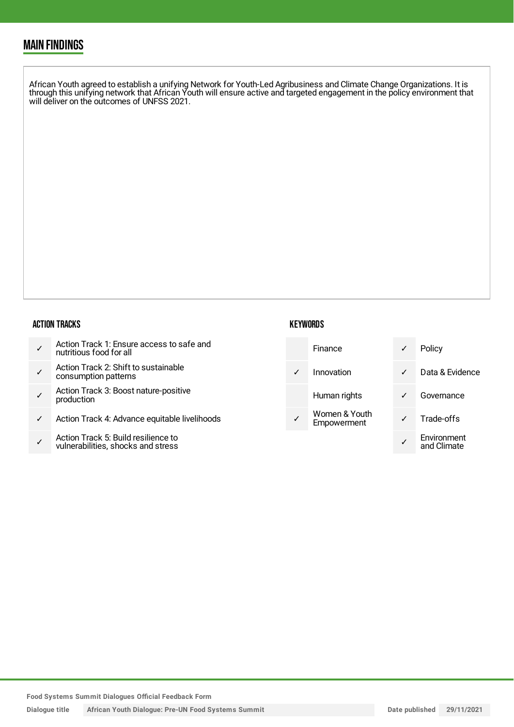### MAIN FINDINGS

African Youth agreed to establish a unifying Network for Youth-Led Agribusiness and Climate Change Organizations. It is through this unifying network that African Youth will ensure active and targeted engagement in the policy environment that will deliver on the outcomes of UNFSS 2021.

#### ACTION TRACKS

- ✓ Action Track 2: Shift to sustainable consumption patterns
- ✓ Action Track 3: Boost nature-positive production
- ✓ Action Track 4: Advance equitable livelihoods
- ✓ Action Track 5: Build resilience to vulnerabilities, shocks and stress

#### **KEYWORDS**

| Finance                      | Policy                     |
|------------------------------|----------------------------|
| Innovation                   | Data & Evidence            |
| Human rights                 | Governance                 |
| Women & Youth<br>Empowerment | Trade-offs                 |
|                              | Environment<br>and Climate |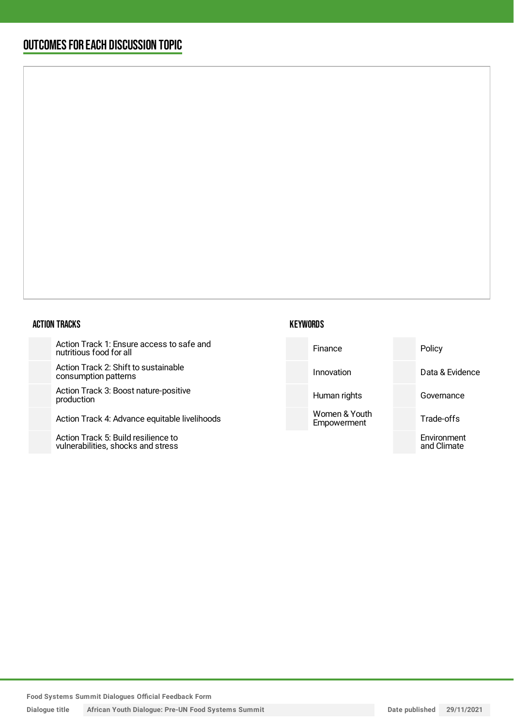### OUTCOMESFOR EACH DISCUSSION TOPIC

#### ACTION TRACKS

Action Track 1: Ensure access to safe and nutritious food for all

Action Track 2: Shift to sustainable consumption patterns

Action Track 3: Boost nature-positiv production

Action Track 4: Advance equitable li

Action Track 5: Build resilience to vulnerabilities, shocks and stress

| afe and    | Finance                      | Policy                     |
|------------|------------------------------|----------------------------|
|            | Innovation                   | Data & Evidence            |
| /e         | Human rights                 | Governance                 |
| ivelihoods | Women & Youth<br>Empowerment | Trade-offs                 |
|            |                              | Environment<br>and Climate |
|            |                              |                            |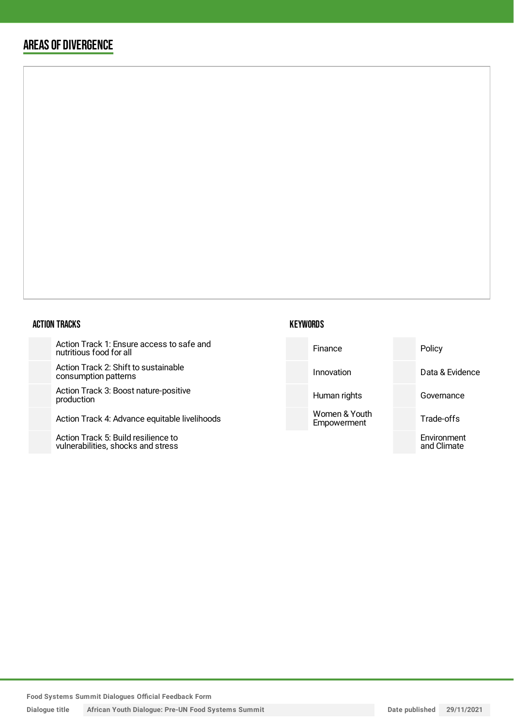### AREAS OF DIVERGENCE

#### ACTION TRACKS

Action Track 1: Ensure access to safe and nutritious food for all

Action Track 2: Shift to sustainabl consumption patterns

Action Track 3: Boost nature-posit production

Action Track 4: Advance equitable

Action Track 5: Build resilience to vulnerabilities, shocks and stress

| KEYWORDS |
|----------|
|----------|

| safe and      | Finance                      | Policy                     |
|---------------|------------------------------|----------------------------|
| le            | Innovation                   | Data & Evidence            |
| tive          | Human rights                 | Governance                 |
| e livelihoods | Women & Youth<br>Empowerment | Trade-offs                 |
|               |                              | Environment<br>and Climate |
|               |                              |                            |